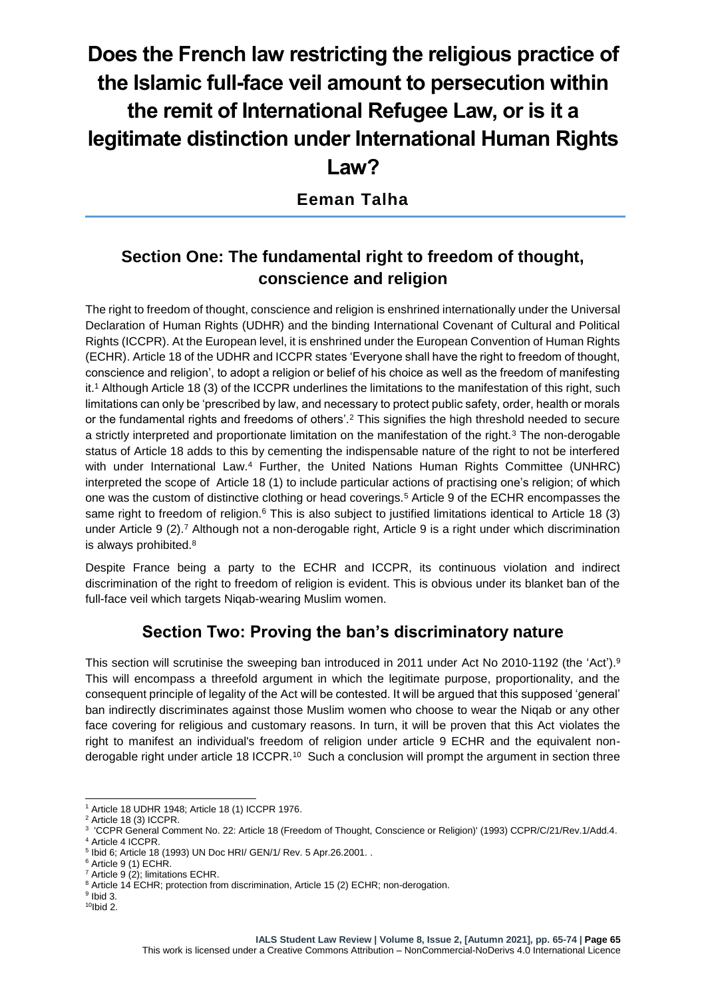# **Does the French law restricting the religious practice of the Islamic full-face veil amount to persecution within the remit of International Refugee Law, or is it a legitimate distinction under International Human Rights Law?**

**Eeman Talha**

## **Section One: The fundamental right to freedom of thought, conscience and religion**

The right to freedom of thought, conscience and religion is enshrined internationally under the Universal Declaration of Human Rights (UDHR) and the binding International Covenant of Cultural and Political Rights (ICCPR). At the European level, it is enshrined under the European Convention of Human Rights (ECHR). Article 18 of the UDHR and ICCPR states 'Everyone shall have the right to freedom of thought, conscience and religion', to adopt a religion or belief of his choice as well as the freedom of manifesting it.<sup>1</sup> Although Article 18 (3) of the ICCPR underlines the limitations to the manifestation of this right, such limitations can only be 'prescribed by law, and necessary to protect public safety, order, health or morals or the fundamental rights and freedoms of others'.<sup>2</sup> This signifies the high threshold needed to secure a strictly interpreted and proportionate limitation on the manifestation of the right.<sup>3</sup> The non-derogable status of Article 18 adds to this by cementing the indispensable nature of the right to not be interfered with under International Law.<sup>4</sup> Further, the United Nations Human Rights Committee (UNHRC) interpreted the scope of Article 18 (1) to include particular actions of practising one's religion; of which one was the custom of distinctive clothing or head coverings.<sup>5</sup> Article 9 of the ECHR encompasses the same right to freedom of religion.<sup>6</sup> This is also subject to justified limitations identical to Article 18 (3) under Article 9 (2).<sup>7</sup> Although not a non-derogable right, Article 9 is a right under which discrimination is always prohibited.<sup>8</sup>

Despite France being a party to the ECHR and ICCPR, its continuous violation and indirect discrimination of the right to freedom of religion is evident. This is obvious under its blanket ban of the full-face veil which targets Niqab-wearing Muslim women.

### **Section Two: Proving the ban's discriminatory nature**

This section will scrutinise the sweeping ban introduced in 2011 under Act No 2010-1192 (the 'Act'). 9 This will encompass a threefold argument in which the legitimate purpose, proportionality, and the consequent principle of legality of the Act will be contested. It will be argued that this supposed 'general' ban indirectly discriminates against those Muslim women who choose to wear the Niqab or any other face covering for religious and customary reasons. In turn, it will be proven that this Act violates the right to manifest an individual's freedom of religion under article 9 ECHR and the equivalent nonderogable right under article 18 ICCPR.<sup>10</sup> Such a conclusion will prompt the argument in section three

<sup>1</sup> Article 18 UDHR 1948; Article 18 (1) ICCPR 1976.

<sup>2</sup> Article 18 (3) ICCPR.

<sup>3</sup> 'CCPR General Comment No. 22: Article 18 (Freedom of Thought, Conscience or Religion)' (1993) CCPR/C/21/Rev.1/Add.4.

<sup>4</sup> Article 4 ICCPR.

<sup>5</sup> Ibid 6; Article 18 (1993) UN Doc HRI/ GEN/1/ Rev. 5 Apr.26.2001. .

<sup>6</sup> Article 9 (1) ECHR.

<sup>7</sup> Article 9 (2); limitations ECHR.

<sup>&</sup>lt;sup>8</sup> Article 14 ECHR; protection from discrimination, Article 15 (2) ECHR; non-derogation.

 $9$  lbid 3.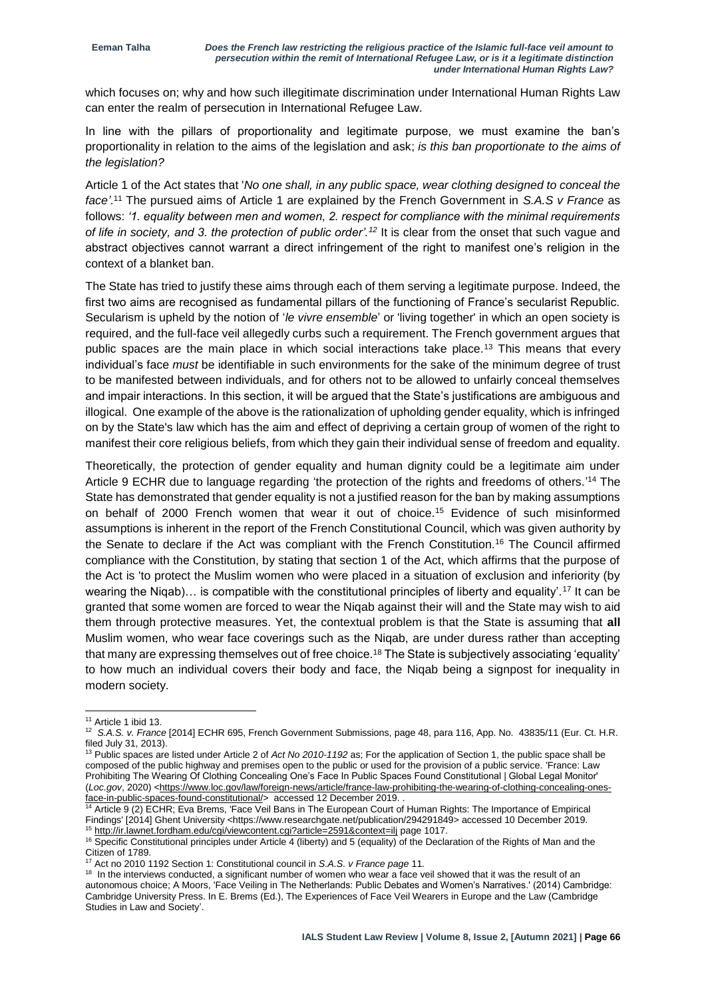which focuses on; why and how such illegitimate discrimination under International Human Rights Law can enter the realm of persecution in International Refugee Law.

In line with the pillars of proportionality and legitimate purpose, we must examine the ban's proportionality in relation to the aims of the legislation and ask; *is this ban proportionate to the aims of the legislation?*

Article 1 of the Act states that '*No one shall, in any public space, wear clothing designed to conceal the face'*. <sup>11</sup> The pursued aims of Article 1 are explained by the French Government in *S.A.S v France* as follows: *'1. equality between men and women, 2. respect for compliance with the minimal requirements of life in society, and 3. the protection of public order'.<sup>12</sup>* It is clear from the onset that such vague and abstract objectives cannot warrant a direct infringement of the right to manifest one's religion in the context of a blanket ban.

The State has tried to justify these aims through each of them serving a legitimate purpose. Indeed, the first two aims are recognised as fundamental pillars of the functioning of France's secularist Republic. Secularism is upheld by the notion of '*le vivre ensemble*' or 'living together' in which an open society is required, and the full-face veil allegedly curbs such a requirement. The French government argues that public spaces are the main place in which social interactions take place.<sup>13</sup> This means that every individual's face *must* be identifiable in such environments for the sake of the minimum degree of trust to be manifested between individuals, and for others not to be allowed to unfairly conceal themselves and impair interactions. In this section, it will be argued that the State's justifications are ambiguous and illogical. One example of the above is the rationalization of upholding gender equality, which is infringed on by the State's law which has the aim and effect of depriving a certain group of women of the right to manifest their core religious beliefs, from which they gain their individual sense of freedom and equality.

Theoretically, the protection of gender equality and human dignity could be a legitimate aim under Article 9 ECHR due to language regarding 'the protection of the rights and freedoms of others.'<sup>14</sup> The State has demonstrated that gender equality is not a justified reason for the ban by making assumptions on behalf of 2000 French women that wear it out of choice.<sup>15</sup> Evidence of such misinformed assumptions is inherent in the report of the French Constitutional Council, which was given authority by the Senate to declare if the Act was compliant with the French Constitution.<sup>16</sup> The Council affirmed compliance with the Constitution, by stating that section 1 of the Act, which affirms that the purpose of the Act is 'to protect the Muslim women who were placed in a situation of exclusion and inferiority (by wearing the Niqab)… is compatible with the constitutional principles of liberty and equality'.<sup>17</sup> It can be granted that some women are forced to wear the Niqab against their will and the State may wish to aid them through protective measures. Yet, the contextual problem is that the State is assuming that **all** Muslim women, who wear face coverings such as the Niqab, are under duress rather than accepting that many are expressing themselves out of free choice.<sup>18</sup> The State is subjectively associating 'equality' to how much an individual covers their body and face, the Niqab being a signpost for inequality in modern society.

<sup>&</sup>lt;sup>11</sup> Article 1 ibid 13.

<sup>12</sup> *S.A.S. v. France* [2014] ECHR 695, French Government Submissions, page 48, para 116, App. No. 43835/11 (Eur. Ct. H.R. filed July 31, 2013).

<sup>13</sup> Public spaces are listed under Article 2 of *Act No 2010-1192* as; For the application of Section 1, the public space shall be composed of the public highway and premises open to the public or used for the provision of a public service. 'France: Law Prohibiting The Wearing Of Clothing Concealing One's Face In Public Spaces Found Constitutional | Global Legal Monitor' (*Loc.gov*, 2020) [<https://www.loc.gov/law/foreign-news/article/france-law-prohibiting-the-wearing-of-clothing-concealing-ones](https://www.loc.gov/law/foreign-news/article/france-law-prohibiting-the-wearing-of-clothing-concealing-ones-face-in-public-spaces-found-constitutional/)[face-in-public-spaces-found-constitutional/>](https://www.loc.gov/law/foreign-news/article/france-law-prohibiting-the-wearing-of-clothing-concealing-ones-face-in-public-spaces-found-constitutional/) accessed 12 December 2019. .

<sup>14</sup> Article 9 (2) ECHR; Eva Brems, 'Face Veil Bans in The European Court of Human Rights: The Importance of Empirical Findings' [2014] Ghent University <https://www.researchgate.net/publication/294291849> accessed 10 December 2019. <sup>15</sup> <http://ir.lawnet.fordham.edu/cgi/viewcontent.cgi?article=2591&context=ilj> page 1017.

<sup>&</sup>lt;sup>16</sup> Specific Constitutional principles under Article 4 (liberty) and 5 (equality) of the Declaration of the Rights of Man and the Citizen of 1789.

<sup>17</sup> Act no 2010 1192 Section 1: Constitutional council in *S.A.S. v France page* 11.

<sup>&</sup>lt;sup>18</sup> In the interviews conducted, a significant number of women who wear a face veil showed that it was the result of an autonomous choice; A Moors, 'Face Veiling in The Netherlands: Public Debates and Women's Narratives.' (2014) Cambridge: Cambridge University Press. In E. Brems (Ed.), The Experiences of Face Veil Wearers in Europe and the Law (Cambridge Studies in Law and Society'.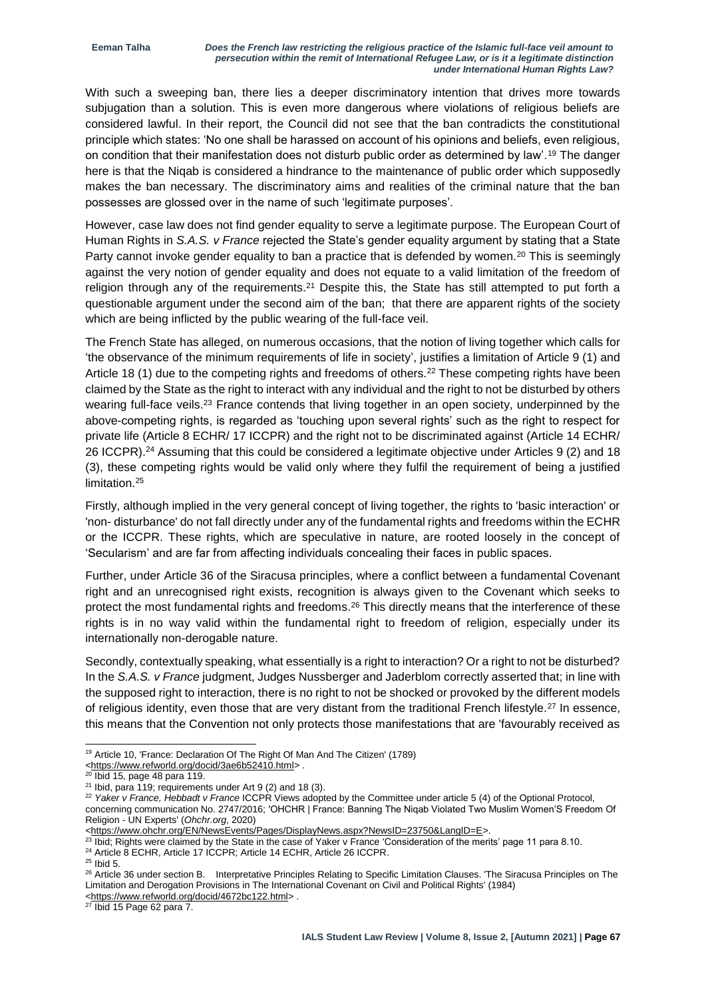With such a sweeping ban, there lies a deeper discriminatory intention that drives more towards subjugation than a solution. This is even more dangerous where violations of religious beliefs are considered lawful. In their report, the Council did not see that the ban contradicts the constitutional principle which states: 'No one shall be harassed on account of his opinions and beliefs, even religious, on condition that their manifestation does not disturb public order as determined by law'.<sup>19</sup> The danger here is that the Niqab is considered a hindrance to the maintenance of public order which supposedly makes the ban necessary. The discriminatory aims and realities of the criminal nature that the ban possesses are glossed over in the name of such 'legitimate purposes'.

However, case law does not find gender equality to serve a legitimate purpose. The European Court of Human Rights in *S.A.S. v France* rejected the State's gender equality argument by stating that a State Party cannot invoke gender equality to ban a practice that is defended by women.<sup>20</sup> This is seemingly against the very notion of gender equality and does not equate to a valid limitation of the freedom of religion through any of the requirements.<sup>21</sup> Despite this, the State has still attempted to put forth a questionable argument under the second aim of the ban; that there are apparent rights of the society which are being inflicted by the public wearing of the full-face veil.

The French State has alleged, on numerous occasions, that the notion of living together which calls for 'the observance of the minimum requirements of life in society', justifies a limitation of Article 9 (1) and Article 18 (1) due to the competing rights and freedoms of others.<sup>22</sup> These competing rights have been claimed by the State as the right to interact with any individual and the right to not be disturbed by others wearing full-face veils.<sup>23</sup> France contends that living together in an open society, underpinned by the above-competing rights, is regarded as 'touching upon several rights' such as the right to respect for private life (Article 8 ECHR/ 17 ICCPR) and the right not to be discriminated against (Article 14 ECHR/ 26 ICCPR).<sup>24</sup> Assuming that this could be considered a legitimate objective under Articles 9 (2) and 18 (3), these competing rights would be valid only where they fulfil the requirement of being a justified limitation.<sup>25</sup>

Firstly, although implied in the very general concept of living together, the rights to 'basic interaction' or 'non- disturbance' do not fall directly under any of the fundamental rights and freedoms within the ECHR or the ICCPR. These rights, which are speculative in nature, are rooted loosely in the concept of 'Secularism' and are far from affecting individuals concealing their faces in public spaces.

Further, under Article 36 of the Siracusa principles, where a conflict between a fundamental Covenant right and an unrecognised right exists, recognition is always given to the Covenant which seeks to protect the most fundamental rights and freedoms.<sup>26</sup> This directly means that the interference of these rights is in no way valid within the fundamental right to freedom of religion, especially under its internationally non-derogable nature.

Secondly, contextually speaking, what essentially is a right to interaction? Or a right to not be disturbed? In the *S.A.S. v France* judgment, Judges Nussberger and Jaderblom correctly asserted that; in line with the supposed right to interaction, there is no right to not be shocked or provoked by the different models of religious identity, even those that are very distant from the traditional French lifestyle.<sup>27</sup> In essence, this means that the Convention not only protects those manifestations that are 'favourably received as

1

<sup>&</sup>lt;sup>19</sup> Article 10, 'France: Declaration Of The Right Of Man And The Citizen' (1789)

[<sup>&</sup>lt;https://www.refworld.org/docid/3ae6b52410.html>](https://www.refworld.org/docid/3ae6b52410.html) .

 $20$  Ibid 15, page 48 para 119.

 $21$  Ibid, para 119; requirements under Art 9 (2) and 18 (3).

<sup>22</sup> *Yaker v France, Hebbadt v France* ICCPR Views adopted by the Committee under article 5 (4) of the Optional Protocol, concerning communication No. 2747/2016; 'OHCHR | France: Banning The Niqab Violated Two Muslim Women'S Freedom Of Religion - UN Experts' (*Ohchr.org*, 2020)

[<sup>&</sup>lt;https://www.ohchr.org/EN/NewsEvents/Pages/DisplayNews.aspx?NewsID=23750&LangID=E>](https://www.ohchr.org/EN/NewsEvents/Pages/DisplayNews.aspx?NewsID=23750&LangID=E).

 $^{23}$  Ibid; Rights were claimed by the State in the case of Yaker v France 'Consideration of the merits' page 11 para 8.10.

<sup>&</sup>lt;sup>24</sup> Article 8 ECHR, Article 17 ICCPR; Article 14 ECHR, Article 26 ICCPR.

<sup>25</sup> Ibid 5.

<sup>&</sup>lt;sup>26</sup> Article 36 under section B. Interpretative Principles Relating to Specific Limitation Clauses. 'The Siracusa Principles on The Limitation and Derogation Provisions in The International Covenant on Civil and Political Rights' (1984) [<https://www.refworld.org/docid/4672bc122.html>](https://www.refworld.org/docid/4672bc122.html) .

 $27$  Ibid 15 Page 62 para 7.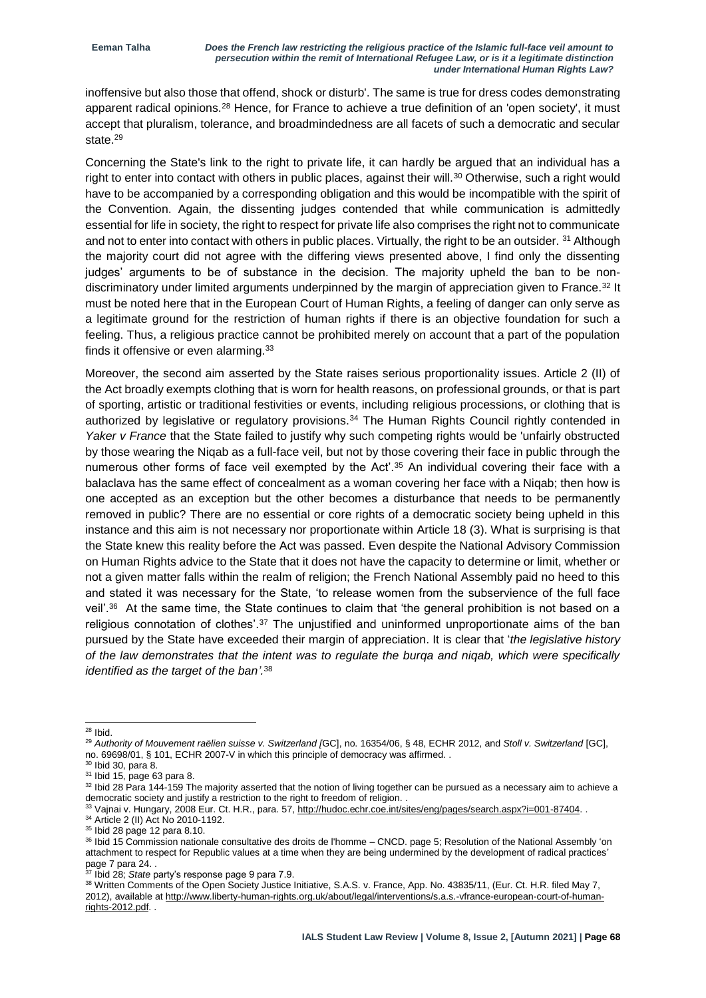inoffensive but also those that offend, shock or disturb'. The same is true for dress codes demonstrating apparent radical opinions.<sup>28</sup> Hence, for France to achieve a true definition of an 'open society', it must accept that pluralism, tolerance, and broadmindedness are all facets of such a democratic and secular state.<sup>29</sup>

Concerning the State's link to the right to private life, it can hardly be argued that an individual has a right to enter into contact with others in public places, against their will.<sup>30</sup> Otherwise, such a right would have to be accompanied by a corresponding obligation and this would be incompatible with the spirit of the Convention. Again, the dissenting judges contended that while communication is admittedly essential for life in society, the right to respect for private life also comprises the right not to communicate and not to enter into contact with others in public places. Virtually, the right to be an outsider. <sup>31</sup> Although the majority court did not agree with the differing views presented above, I find only the dissenting judges' arguments to be of substance in the decision. The majority upheld the ban to be nondiscriminatory under limited arguments underpinned by the margin of appreciation given to France.<sup>32</sup> It must be noted here that in the European Court of Human Rights, a feeling of danger can only serve as a legitimate ground for the restriction of human rights if there is an objective foundation for such a feeling. Thus, a religious practice cannot be prohibited merely on account that a part of the population finds it offensive or even alarming.<sup>33</sup>

Moreover, the second aim asserted by the State raises serious proportionality issues. Article 2 (II) of the Act broadly exempts clothing that is worn for health reasons, on professional grounds, or that is part of sporting, artistic or traditional festivities or events, including religious processions, or clothing that is authorized by legislative or regulatory provisions.<sup>34</sup> The Human Rights Council rightly contended in *Yaker v France* that the State failed to justify why such competing rights would be 'unfairly obstructed by those wearing the Niqab as a full-face veil, but not by those covering their face in public through the numerous other forms of face veil exempted by the Act'.<sup>35</sup> An individual covering their face with a balaclava has the same effect of concealment as a woman covering her face with a Niqab; then how is one accepted as an exception but the other becomes a disturbance that needs to be permanently removed in public? There are no essential or core rights of a democratic society being upheld in this instance and this aim is not necessary nor proportionate within Article 18 (3). What is surprising is that the State knew this reality before the Act was passed. Even despite the National Advisory Commission on Human Rights advice to the State that it does not have the capacity to determine or limit, whether or not a given matter falls within the realm of religion; the French National Assembly paid no heed to this and stated it was necessary for the State, 'to release women from the subservience of the full face veil'.<sup>36</sup> At the same time, the State continues to claim that 'the general prohibition is not based on a religious connotation of clothes'.<sup>37</sup> The unjustified and uninformed unproportionate aims of the ban pursued by the State have exceeded their margin of appreciation. It is clear that '*the legislative history of the law demonstrates that the intent was to regulate the burqa and niqab, which were specifically identified as the target of the ban'.* 38

<sup>1</sup>  $28$  lbid.

<sup>29</sup> *Authority of Mouvement raëlien suisse v. Switzerland [*GC], no. 16354/06, § 48, ECHR 2012, and *Stoll v. Switzerland* [GC], no. 69698/01, § 101, ECHR 2007-V in which this principle of democracy was affirmed. .

<sup>30</sup> Ibid 30, para 8.

<sup>31</sup> Ibid 15, page 63 para 8.

<sup>&</sup>lt;sup>32</sup> Ibid 28 Para 144-159 The majority asserted that the notion of living together can be pursued as a necessary aim to achieve a democratic society and justify a restriction to the right to freedom of religion. .

<sup>33</sup> Vajnai v. Hungary, 2008 Eur. Ct. H.R., para. 57, [http://hudoc.echr.coe.int/sites/eng/pages/search.aspx?i=001-87404.](http://hudoc.echr.coe.int/sites/eng/pages/search.aspx?i=001-87404) . <sup>34</sup> Article 2 (II) Act No 2010-1192.

<sup>35</sup> Ibid 28 page 12 para 8.10.

<sup>36</sup> Ibid 15 Commission nationale consultative des droits de l'homme – CNCD. page 5; Resolution of the National Assembly 'on attachment to respect for Republic values at a time when they are being undermined by the development of radical practices' page 7 para 24. .

<sup>37</sup> Ibid 28; *State* party's response page 9 para 7.9.

<sup>38</sup> Written Comments of the Open Society Justice Initiative, S.A.S. v. France, App. No. 43835/11, (Eur. Ct. H.R. filed May 7, 2012), available a[t http://www.liberty-human-rights.org.uk/about/legal/interventions/s.a.s.-vfrance-european-court-of-human](http://www.liberty-human-rights.org.uk/about/legal/interventions/s.a.s.-vfrance-european-court-of-human-rights-2012.pdf)[rights-2012.pdf.](http://www.liberty-human-rights.org.uk/about/legal/interventions/s.a.s.-vfrance-european-court-of-human-rights-2012.pdf) .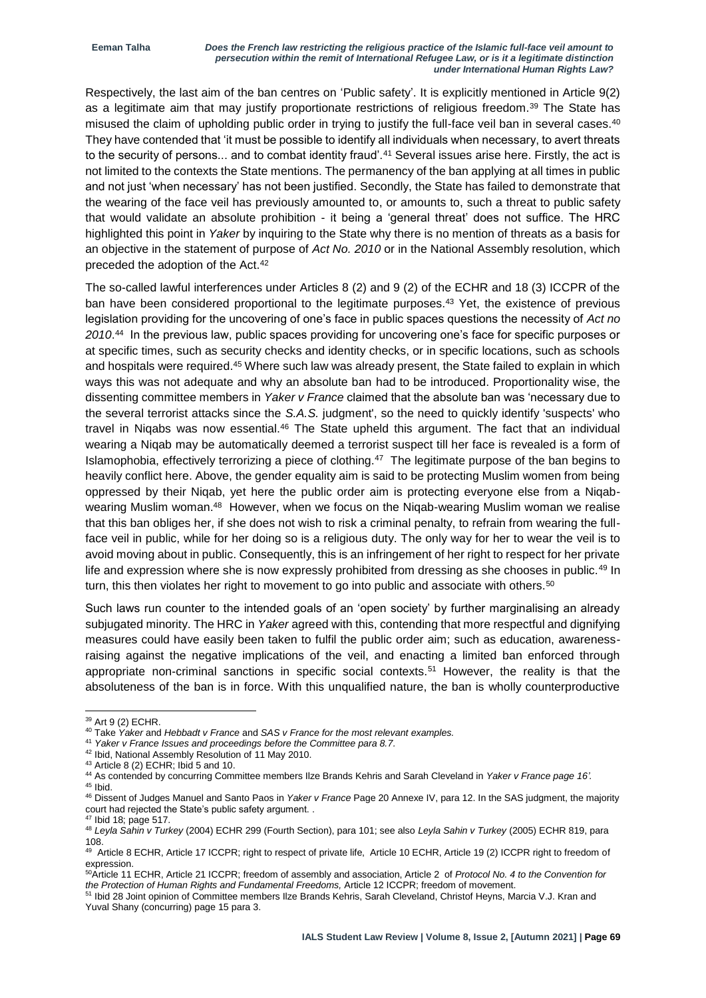Respectively, the last aim of the ban centres on 'Public safety'. It is explicitly mentioned in Article 9(2) as a legitimate aim that may justify proportionate restrictions of religious freedom.<sup>39</sup> The State has misused the claim of upholding public order in trying to justify the full-face veil ban in several cases.<sup>40</sup> They have contended that 'it must be possible to identify all individuals when necessary, to avert threats to the security of persons... and to combat identity fraud'.<sup>41</sup> Several issues arise here. Firstly, the act is not limited to the contexts the State mentions. The permanency of the ban applying at all times in public and not just 'when necessary' has not been justified. Secondly, the State has failed to demonstrate that the wearing of the face veil has previously amounted to, or amounts to, such a threat to public safety that would validate an absolute prohibition - it being a 'general threat' does not suffice. The HRC highlighted this point in *Yaker* by inquiring to the State why there is no mention of threats as a basis for an objective in the statement of purpose of *Act No. 2010* or in the National Assembly resolution, which preceded the adoption of the Act.<sup>42</sup>

The so-called lawful interferences under Articles 8 (2) and 9 (2) of the ECHR and 18 (3) ICCPR of the ban have been considered proportional to the legitimate purposes.<sup>43</sup> Yet, the existence of previous legislation providing for the uncovering of one's face in public spaces questions the necessity of *Act no 2010*. 44 In the previous law, public spaces providing for uncovering one's face for specific purposes or at specific times, such as security checks and identity checks, or in specific locations, such as schools and hospitals were required.<sup>45</sup> Where such law was already present, the State failed to explain in which ways this was not adequate and why an absolute ban had to be introduced. Proportionality wise, the dissenting committee members in *Yaker v France* claimed that the absolute ban was 'necessary due to the several terrorist attacks since the *S.A.S.* judgment', so the need to quickly identify 'suspects' who travel in Niqabs was now essential.<sup>46</sup> The State upheld this argument. The fact that an individual wearing a Niqab may be automatically deemed a terrorist suspect till her face is revealed is a form of Islamophobia, effectively terrorizing a piece of clothing.<sup>47</sup> The legitimate purpose of the ban begins to heavily conflict here. Above, the gender equality aim is said to be protecting Muslim women from being oppressed by their Niqab, yet here the public order aim is protecting everyone else from a Niqabwearing Muslim woman.<sup>48</sup> However, when we focus on the Niqab-wearing Muslim woman we realise that this ban obliges her, if she does not wish to risk a criminal penalty, to refrain from wearing the fullface veil in public, while for her doing so is a religious duty. The only way for her to wear the veil is to avoid moving about in public. Consequently, this is an infringement of her right to respect for her private life and expression where she is now expressly prohibited from dressing as she chooses in public.<sup>49</sup> In turn, this then violates her right to movement to go into public and associate with others.<sup>50</sup>

Such laws run counter to the intended goals of an 'open society' by further marginalising an already subjugated minority. The HRC in *Yaker* agreed with this, contending that more respectful and dignifying measures could have easily been taken to fulfil the public order aim; such as education, awarenessraising against the negative implications of the veil, and enacting a limited ban enforced through appropriate non-criminal sanctions in specific social contexts.<sup>51</sup> However, the reality is that the absoluteness of the ban is in force. With this unqualified nature, the ban is wholly counterproductive

<sup>&</sup>lt;sup>39</sup> Art 9 (2) ECHR.

<sup>40</sup> Take *Yaker* and *Hebbadt v France* and *SAS v France for the most relevant examples.*

<sup>41</sup> *Yaker v France Issues and proceedings before the Committee para 8.7.*

<sup>42</sup> Ibid, National Assembly Resolution of 11 May 2010.

<sup>43</sup> Article 8 (2) ECHR; Ibid 5 and 10.

<sup>44</sup> As contended by concurring Committee members Ilze Brands Kehris and Sarah Cleveland in *Yaker v France page 16'.* <sup>45</sup> Ibid.

<sup>46</sup> Dissent of Judges Manuel and Santo Paos in *Yaker v France* Page 20 Annexe IV, para 12. In the SAS judgment, the majority court had rejected the State's public safety argument. .

<sup>47</sup> Ibid 18; page 517.

<sup>48</sup> *Leyla Sahin v Turkey* (2004) ECHR 299 (Fourth Section), para 101; see also *Leyla Sahin v Turkey* (2005) ECHR 819, para 108.

<sup>&</sup>lt;sup>49</sup> Article 8 ECHR, Article 17 ICCPR; right to respect of private life, Article 10 ECHR, Article 19 (2) ICCPR right to freedom of expression.

<sup>50</sup>Article 11 ECHR, Article 21 ICCPR; freedom of assembly and association, Article 2 of *Protocol No. 4 to the Convention for the Protection of Human Rights and Fundamental Freedoms,* Article 12 ICCPR; freedom of movement.

<sup>51</sup> Ibid 28 Joint opinion of Committee members Ilze Brands Kehris, Sarah Cleveland, Christof Heyns, Marcia V.J. Kran and Yuval Shany (concurring) page 15 para 3.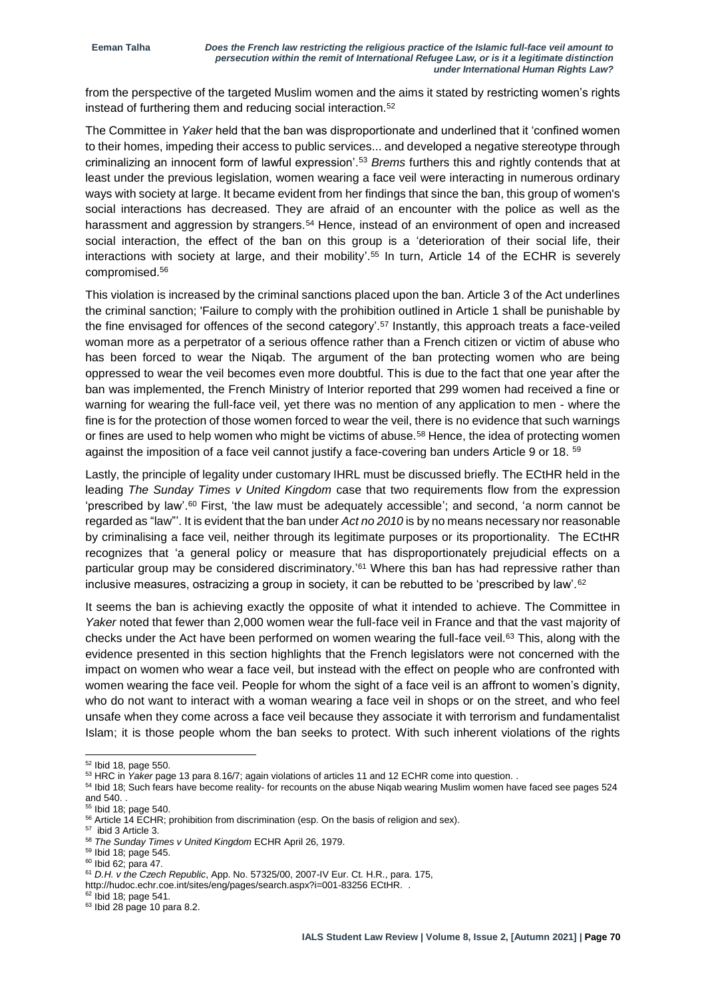from the perspective of the targeted Muslim women and the aims it stated by restricting women's rights instead of furthering them and reducing social interaction.<sup>52</sup>

The Committee in *Yaker* held that the ban was disproportionate and underlined that it 'confined women to their homes, impeding their access to public services... and developed a negative stereotype through criminalizing an innocent form of lawful expression'.<sup>53</sup> *Brems* furthers this and rightly contends that at least under the previous legislation, women wearing a face veil were interacting in numerous ordinary ways with society at large. It became evident from her findings that since the ban, this group of women's social interactions has decreased. They are afraid of an encounter with the police as well as the harassment and aggression by strangers.<sup>54</sup> Hence, instead of an environment of open and increased social interaction, the effect of the ban on this group is a 'deterioration of their social life, their interactions with society at large, and their mobility'. <sup>55</sup> In turn, Article 14 of the ECHR is severely compromised.<sup>56</sup>

This violation is increased by the criminal sanctions placed upon the ban. Article 3 of the Act underlines the criminal sanction; 'Failure to comply with the prohibition outlined in Article 1 shall be punishable by the fine envisaged for offences of the second category'.<sup>57</sup> Instantly, this approach treats a face-veiled woman more as a perpetrator of a serious offence rather than a French citizen or victim of abuse who has been forced to wear the Niqab. The argument of the ban protecting women who are being oppressed to wear the veil becomes even more doubtful. This is due to the fact that one year after the ban was implemented, the French Ministry of Interior reported that 299 women had received a fine or warning for wearing the full-face veil, yet there was no mention of any application to men - where the fine is for the protection of those women forced to wear the veil, there is no evidence that such warnings or fines are used to help women who might be victims of abuse.<sup>58</sup> Hence, the idea of protecting women against the imposition of a face veil cannot justify a face-covering ban unders Article 9 or 18. 59

Lastly, the principle of legality under customary IHRL must be discussed briefly. The ECtHR held in the leading *The Sunday Times v United Kingdom* case that two requirements flow from the expression 'prescribed by law'.<sup>60</sup> First, 'the law must be adequately accessible'; and second, 'a norm cannot be regarded as "law"'. It is evident that the ban under *Act no 2010* is by no means necessary nor reasonable by criminalising a face veil, neither through its legitimate purposes or its proportionality. The ECtHR recognizes that 'a general policy or measure that has disproportionately prejudicial effects on a particular group may be considered discriminatory.' <sup>61</sup> Where this ban has had repressive rather than inclusive measures, ostracizing a group in society, it can be rebutted to be 'prescribed by law'.<sup>62</sup>

It seems the ban is achieving exactly the opposite of what it intended to achieve. The Committee in *Yaker* noted that fewer than 2,000 women wear the full-face veil in France and that the vast majority of checks under the Act have been performed on women wearing the full-face veil.<sup>63</sup> This, along with the evidence presented in this section highlights that the French legislators were not concerned with the impact on women who wear a face veil, but instead with the effect on people who are confronted with women wearing the face veil. People for whom the sight of a face veil is an affront to women's dignity, who do not want to interact with a woman wearing a face veil in shops or on the street, and who feel unsafe when they come across a face veil because they associate it with terrorism and fundamentalist Islam; it is those people whom the ban seeks to protect. With such inherent violations of the rights

http://hudoc.echr.coe.int/sites/eng/pages/search.aspx?i=001-83256 ECtHR. .

<sup>-</sup> $52$  Ibid 18, page 550.

<sup>53</sup> HRC in *Yaker* page 13 para 8.16/7; again violations of articles 11 and 12 ECHR come into question. .

<sup>&</sup>lt;sup>54</sup> Ibid 18; Such fears have become reality- for recounts on the abuse Niqab wearing Muslim women have faced see pages 524 and 540. .

 $55$  Ibid 18; page 540.

<sup>&</sup>lt;sup>56</sup> Article 14 ECHR; prohibition from discrimination (esp. On the basis of religion and sex).

<sup>57</sup> ibid 3 Article 3.

<sup>58</sup> *The Sunday Times v United Kingdom* ECHR April 26, 1979.

<sup>59</sup> Ibid 18; page 545.

<sup>60</sup> Ibid 62; para 47.

<sup>61</sup> *D.H. v the Czech Republic*, App. No. 57325/00, 2007-IV Eur. Ct. H.R., para. 175,

<sup>62</sup> Ibid 18; page 541.

<sup>63</sup> Ibid 28 page 10 para 8.2.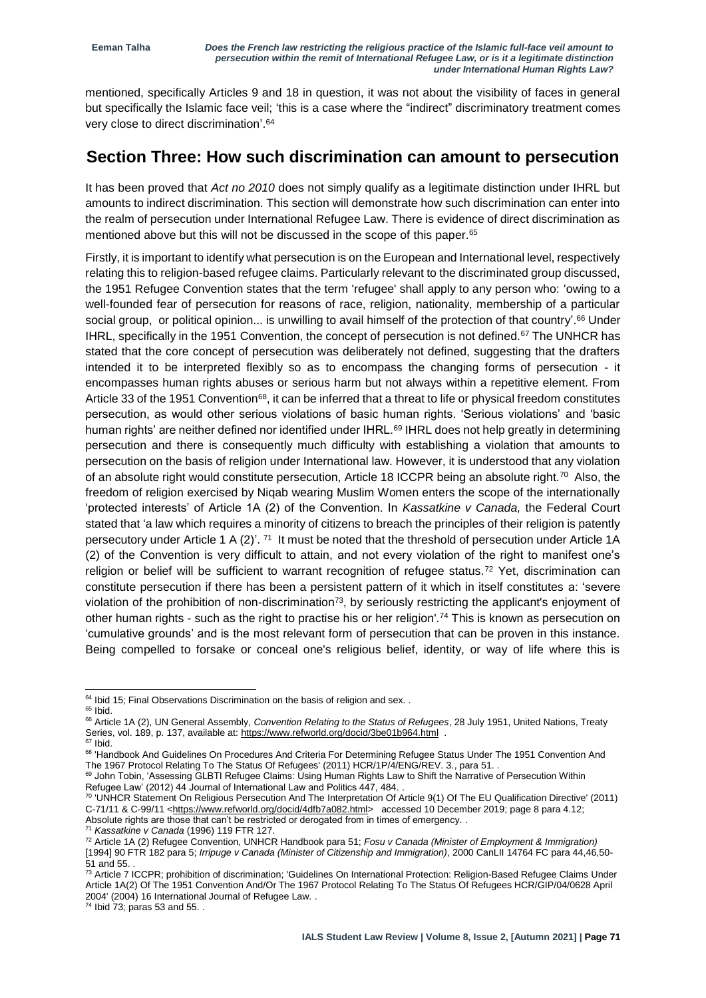mentioned, specifically Articles 9 and 18 in question, it was not about the visibility of faces in general but specifically the Islamic face veil; 'this is a case where the "indirect" discriminatory treatment comes very close to direct discrimination'. 64

#### **Section Three: How such discrimination can amount to persecution**

It has been proved that *Act no 2010* does not simply qualify as a legitimate distinction under IHRL but amounts to indirect discrimination. This section will demonstrate how such discrimination can enter into the realm of persecution under International Refugee Law. There is evidence of direct discrimination as mentioned above but this will not be discussed in the scope of this paper.<sup>65</sup>

Firstly, it is important to identify what persecution is on the European and International level, respectively relating this to religion-based refugee claims. Particularly relevant to the discriminated group discussed, the 1951 Refugee Convention states that the term 'refugee' shall apply to any person who: 'owing to a well-founded fear of persecution for reasons of race, religion, nationality, membership of a particular social group, or political opinion... is unwilling to avail himself of the protection of that country'.<sup>66</sup> Under IHRL, specifically in the 1951 Convention, the concept of persecution is not defined.<sup>67</sup> The UNHCR has stated that the core concept of persecution was deliberately not defined, suggesting that the drafters intended it to be interpreted flexibly so as to encompass the changing forms of persecution - it encompasses human rights abuses or serious harm but not always within a repetitive element. From Article 33 of the 1951 Convention<sup>68</sup>, it can be inferred that a threat to life or physical freedom constitutes persecution, as would other serious violations of basic human rights. 'Serious violations' and 'basic human rights' are neither defined nor identified under IHRL.<sup>69</sup> IHRL does not help greatly in determining persecution and there is consequently much difficulty with establishing a violation that amounts to persecution on the basis of religion under International law. However, it is understood that any violation of an absolute right would constitute persecution, Article 18 ICCPR being an absolute right.<sup>70</sup> Also, the freedom of religion exercised by Niqab wearing Muslim Women enters the scope of the internationally 'protected interests' of Article 1A (2) of the Convention. In *Kassatkine v Canada,* the Federal Court stated that 'a law which requires a minority of citizens to breach the principles of their religion is patently persecutory under Article 1 A (2)'. <sup>71</sup> It must be noted that the threshold of persecution under Article 1A (2) of the Convention is very difficult to attain, and not every violation of the right to manifest one's religion or belief will be sufficient to warrant recognition of refugee status.<sup>72</sup> Yet, discrimination can constitute persecution if there has been a persistent pattern of it which in itself constitutes a: 'severe violation of the prohibition of non-discrimination<sup>73</sup>, by seriously restricting the applicant's enjoyment of other human rights - such as the right to practise his or her religion'.<sup>74</sup> This is known as persecution on 'cumulative grounds' and is the most relevant form of persecution that can be proven in this instance. Being compelled to forsake or conceal one's religious belief, identity, or way of life where this is

-

<sup>71</sup> *Kassatkine v Canada* (1996) 119 FTR 127.

 $64$  Ibid 15; Final Observations Discrimination on the basis of religion and sex. .  $65$  Ibid.

<sup>66</sup> Article 1A (2), UN General Assembly, *Convention Relating to the Status of Refugees*, 28 July 1951, United Nations, Treaty Series, vol. 189, p. 137, available at[: https://www.refworld.org/docid/3be01b964.html](https://www.refworld.org/docid/3be01b964.html) .

 $67$  Ibid.

<sup>68 &#</sup>x27;Handbook And Guidelines On Procedures And Criteria For Determining Refugee Status Under The 1951 Convention And The 1967 Protocol Relating To The Status Of Refugees' (2011) HCR/1P/4/ENG/REV. 3., para 51. .

<sup>69</sup> John Tobin, 'Assessing GLBTI Refugee Claims: Using Human Rights Law to Shift the Narrative of Persecution Within Refugee Law' (2012) 44 Journal of International Law and Politics 447, 484. .

<sup>70</sup> 'UNHCR Statement On Religious Persecution And The Interpretation Of Article 9(1) Of The EU Qualification Directive' (2011) C-71/11 & C-99/11 [<https://www.refworld.org/docid/4dfb7a082.html>](https://www.refworld.org/docid/4dfb7a082.html) accessed 10 December 2019; page 8 para 4.12; Absolute rights are those that can't be restricted or derogated from in times of emergency. .

<sup>72</sup> Article 1A (2) Refugee Convention, UNHCR Handbook para 51; *Fosu v Canada (Minister of Employment & Immigration)*  [1994] 90 FTR 182 para 5; *Irripuge v Canada (Minister of Citizenship and Immigration)*, 2000 CanLII 14764 FC para 44,46,50- 51 and 55. .

<sup>&</sup>lt;sup>73</sup> Article 7 ICCPR; prohibition of discrimination; 'Guidelines On International Protection: Religion-Based Refugee Claims Under Article 1A(2) Of The 1951 Convention And/Or The 1967 Protocol Relating To The Status Of Refugees HCR/GIP/04/0628 April 2004' (2004) 16 International Journal of Refugee Law. .

 $74$  Ibid  $73$ ; paras 53 and 55...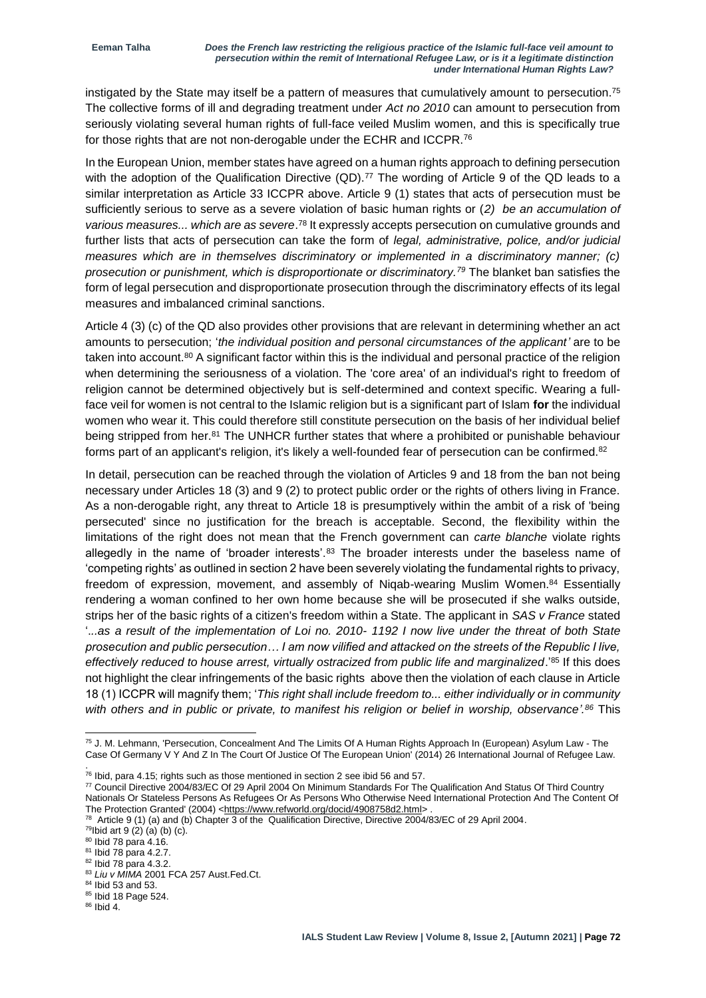instigated by the State may itself be a pattern of measures that cumulatively amount to persecution.<sup>75</sup> The collective forms of ill and degrading treatment under *Act no 2010* can amount to persecution from seriously violating several human rights of full-face veiled Muslim women, and this is specifically true for those rights that are not non-derogable under the ECHR and ICCPR.<sup>76</sup>

In the European Union, member states have agreed on a human rights approach to defining persecution with the adoption of the Qualification Directive (QD).<sup>77</sup> The wording of Article 9 of the QD leads to a similar interpretation as Article 33 ICCPR above. Article 9 (1) states that acts of persecution must be sufficiently serious to serve as a severe violation of basic human rights or (*2) be an accumulation of*  various measures... which are as severe.<sup>78</sup> It expressly accepts persecution on cumulative grounds and further lists that acts of persecution can take the form of *legal, administrative, police, and/or judicial measures which are in themselves discriminatory or implemented in a discriminatory manner; (c) prosecution or punishment, which is disproportionate or discriminatory.<sup>79</sup>* The blanket ban satisfies the form of legal persecution and disproportionate prosecution through the discriminatory effects of its legal measures and imbalanced criminal sanctions.

Article 4 (3) (c) of the QD also provides other provisions that are relevant in determining whether an act amounts to persecution; '*the individual position and personal circumstances of the applicant'* are to be taken into account.<sup>80</sup> A significant factor within this is the individual and personal practice of the religion when determining the seriousness of a violation. The 'core area' of an individual's right to freedom of religion cannot be determined objectively but is self-determined and context specific. Wearing a fullface veil for women is not central to the Islamic religion but is a significant part of Islam **for** the individual women who wear it. This could therefore still constitute persecution on the basis of her individual belief being stripped from her.<sup>81</sup> The UNHCR further states that where a prohibited or punishable behaviour forms part of an applicant's religion, it's likely a well-founded fear of persecution can be confirmed.<sup>82</sup>

In detail, persecution can be reached through the violation of Articles 9 and 18 from the ban not being necessary under Articles 18 (3) and 9 (2) to protect public order or the rights of others living in France. As a non-derogable right, any threat to Article 18 is presumptively within the ambit of a risk of 'being persecuted' since no justification for the breach is acceptable. Second, the flexibility within the limitations of the right does not mean that the French government can *carte blanche* violate rights allegedly in the name of 'broader interests'.<sup>83</sup> The broader interests under the baseless name of 'competing rights' as outlined in section 2 have been severely violating the fundamental rights to privacy, freedom of expression, movement, and assembly of Niqab-wearing Muslim Women.<sup>84</sup> Essentially rendering a woman confined to her own home because she will be prosecuted if she walks outside, strips her of the basic rights of a citizen's freedom within a State. The applicant in *SAS v France* stated '.*..as a result of the implementation of Loi no. 2010- 1192 I now live under the threat of both State prosecution and public persecution… I am now vilified and attacked on the streets of the Republic I live, effectively reduced to house arrest, virtually ostracized from public life and marginalized*.' <sup>85</sup> If this does not highlight the clear infringements of the basic rights above then the violation of each clause in Article 18 (1) ICCPR will magnify them; '*This right shall include freedom to... either individually or in community with others and in public or private, to manifest his religion or belief in worship, observance'. <sup>86</sup>* This

<sup>77</sup> Council Directive 2004/83/EC Of 29 April 2004 On Minimum Standards For The Qualification And Status Of Third Country Nationals Or Stateless Persons As Refugees Or As Persons Who Otherwise Need International Protection And The Content Of The Protection Granted' (2004) [<https://www.refworld.org/docid/4908758d2.html>](https://www.refworld.org/docid/4908758d2.html).

 $79$ Ibid art 9 (2) (a) (b) (c).

<sup>75</sup> J. M. Lehmann, 'Persecution, Concealment And The Limits Of A Human Rights Approach In (European) Asylum Law - The Case Of Germany V Y And Z In The Court Of Justice Of The European Union' (2014) 26 International Journal of Refugee Law. .

 $76$  lbid, para 4.15; rights such as those mentioned in section 2 see ibid 56 and 57.

<sup>78</sup> Article 9 (1) (a) and (b) Chapter 3 of the Qualification Directive, Directive 2004/83/EC of 29 April 2004.

<sup>80</sup> Ibid 78 para 4.16.

<sup>81</sup> Ibid 78 para 4.2.7.

<sup>82</sup> Ibid 78 para 4.3.2.

<sup>83</sup> Liu v MIMA 2001 FCA 257 Aust.Fed.Ct.

<sup>&</sup>lt;sup>84</sup> Ibid 53 and 53.

<sup>85</sup> Ibid 18 Page 524.

<sup>86</sup> Ibid 4.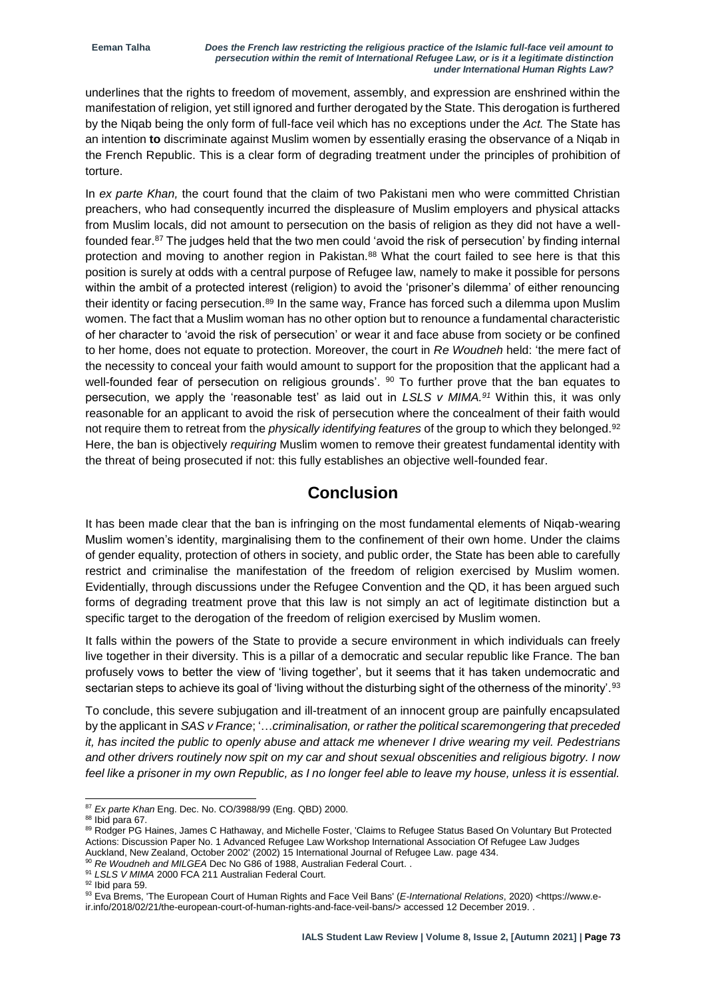underlines that the rights to freedom of movement, assembly, and expression are enshrined within the manifestation of religion, yet still ignored and further derogated by the State. This derogation is furthered by the Niqab being the only form of full-face veil which has no exceptions under the *Act.* The State has an intention **to** discriminate against Muslim women by essentially erasing the observance of a Niqab in the French Republic. This is a clear form of degrading treatment under the principles of prohibition of torture.

In *ex parte Khan,* the court found that the claim of two Pakistani men who were committed Christian preachers, who had consequently incurred the displeasure of Muslim employers and physical attacks from Muslim locals, did not amount to persecution on the basis of religion as they did not have a wellfounded fear.<sup>87</sup> The judges held that the two men could 'avoid the risk of persecution' by finding internal protection and moving to another region in Pakistan.<sup>88</sup> What the court failed to see here is that this position is surely at odds with a central purpose of Refugee law, namely to make it possible for persons within the ambit of a protected interest (religion) to avoid the 'prisoner's dilemma' of either renouncing their identity or facing persecution.<sup>89</sup> In the same way, France has forced such a dilemma upon Muslim women. The fact that a Muslim woman has no other option but to renounce a fundamental characteristic of her character to 'avoid the risk of persecution' or wear it and face abuse from society or be confined to her home, does not equate to protection. Moreover, the court in *Re Woudneh* held: 'the mere fact of the necessity to conceal your faith would amount to support for the proposition that the applicant had a well-founded fear of persecution on religious grounds'. <sup>90</sup> To further prove that the ban equates to persecution, we apply the 'reasonable test' as laid out in *LSLS v MIMA.<sup>91</sup>* Within this, it was only reasonable for an applicant to avoid the risk of persecution where the concealment of their faith would not require them to retreat from the *physically identifying features* of the group to which they belonged.<sup>92</sup> Here, the ban is objectively *requiring* Muslim women to remove their greatest fundamental identity with the threat of being prosecuted if not: this fully establishes an objective well-founded fear.

#### **Conclusion**

It has been made clear that the ban is infringing on the most fundamental elements of Niqab-wearing Muslim women's identity, marginalising them to the confinement of their own home. Under the claims of gender equality, protection of others in society, and public order, the State has been able to carefully restrict and criminalise the manifestation of the freedom of religion exercised by Muslim women. Evidentially, through discussions under the Refugee Convention and the QD, it has been argued such forms of degrading treatment prove that this law is not simply an act of legitimate distinction but a specific target to the derogation of the freedom of religion exercised by Muslim women.

It falls within the powers of the State to provide a secure environment in which individuals can freely live together in their diversity. This is a pillar of a democratic and secular republic like France. The ban profusely vows to better the view of 'living together', but it seems that it has taken undemocratic and sectarian steps to achieve its goal of 'living without the disturbing sight of the otherness of the minority'.<sup>93</sup>

To conclude, this severe subjugation and ill-treatment of an innocent group are painfully encapsulated by the applicant in *SAS v France*; '…*criminalisation, or rather the political scaremongering that preceded it, has incited the public to openly abuse and attack me whenever I drive wearing my veil. Pedestrians and other drivers routinely now spit on my car and shout sexual obscenities and religious bigotry. I now feel like a prisoner in my own Republic, as I no longer feel able to leave my house, unless it is essential.* 

<sup>-</sup><sup>87</sup> *Ex parte Khan* Eng. Dec. No. CO/3988/99 (Eng. QBD) 2000.

<sup>88</sup> Ibid para 67.

<sup>89</sup> Rodger PG Haines, James C Hathaway, and Michelle Foster, 'Claims to Refugee Status Based On Voluntary But Protected Actions: Discussion Paper No. 1 Advanced Refugee Law Workshop International Association Of Refugee Law Judges Auckland, New Zealand, October 2002' (2002) 15 International Journal of Refugee Law. page 434.

<sup>&</sup>lt;sup>90</sup> Re Woudneh and MILGEA Dec No G86 of 1988, Australian Federal Court. .

<sup>91</sup> *LSLS V MIMA* 2000 FCA 211 Australian Federal Court.

<sup>92</sup> Ibid para 59.

<sup>93</sup> Eva Brems, 'The European Court of Human Rights and Face Veil Bans' (*E-International Relations*, 2020) <https://www.eir.info/2018/02/21/the-european-court-of-human-rights-and-face-veil-bans/> accessed 12 December 2019. .